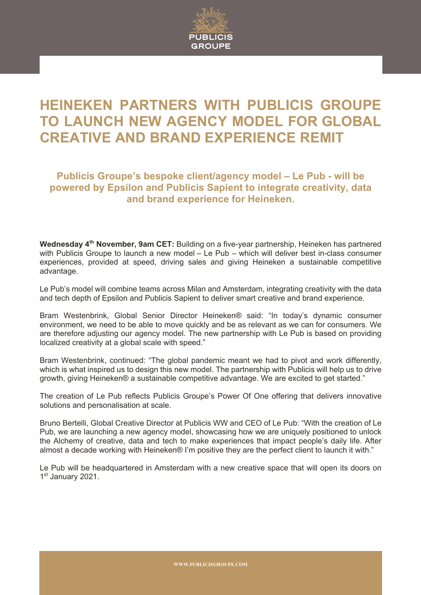

## **HEINEKEN PARTNERS WITH PUBLICIS GROUPE TO LAUNCH NEW AGENCY MODEL FOR GLOBAL CREATIVE AND BRAND EXPERIENCE REMIT**

**Publicis Groupe's bespoke client/agency model – Le Pub - will be powered by Epsilon and Publicis Sapient to integrate creativity, data and brand experience for Heineken.**

**Wednesday 4th November, 9am CET:** Building on a five-year partnership, Heineken has partnered with Publicis Groupe to launch a new model – Le Pub – which will deliver best in-class consumer experiences, provided at speed, driving sales and giving Heineken a sustainable competitive advantage.

Le Pub's model will combine teams across Milan and Amsterdam, integrating creativity with the data and tech depth of Epsilon and Publicis Sapient to deliver smart creative and brand experience.

Bram Westenbrink, Global Senior Director Heineken® said: "In today's dynamic consumer environment, we need to be able to move quickly and be as relevant as we can for consumers. We are therefore adjusting our agency model. The new partnership with Le Pub is based on providing localized creativity at a global scale with speed."

Bram Westenbrink, continued: "The global pandemic meant we had to pivot and work differently, which is what inspired us to design this new model. The partnership with Publicis will help us to drive growth, giving Heineken® a sustainable competitive advantage. We are excited to get started."

The creation of Le Pub reflects Publicis Groupe's Power Of One offering that delivers innovative solutions and personalisation at scale.

Bruno Bertelli, Global Creative Director at Publicis WW and CEO of Le Pub: "With the creation of Le Pub, we are launching a new agency model, showcasing how we are uniquely positioned to unlock the Alchemy of creative, data and tech to make experiences that impact people's daily life. After almost a decade working with Heineken® I'm positive they are the perfect client to launch it with."

Le Pub will be headquartered in Amsterdam with a new creative space that will open its doors on 1st January 2021.